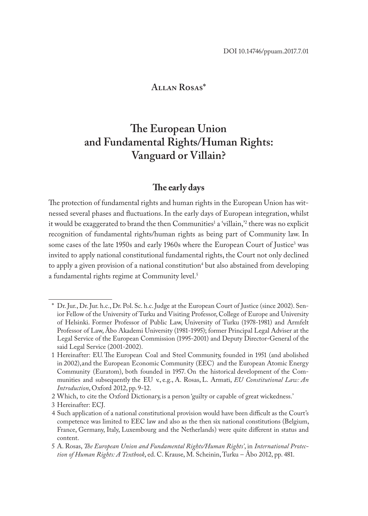# **Allan Rosas\***

# **The European Union and Fundamental Rights/Human Rights: Vanguard or Villain?**

## **The early days**

The protection of fundamental rights and human rights in the European Union has witnessed several phases and fluctuations. In the early days of European integration, whilst it would be exaggerated to brand the then Communities<sup>1</sup> a 'villain,'<sup>2</sup> there was no explicit recognition of fundamental rights/human rights as being part of Community law. In some cases of the late 1950s and early 1960s where the European Court of Justice<sup>3</sup> was invited to apply national constitutional fundamental rights, the Court not only declined to apply a given provision of a national constitution<sup>4</sup> but also abstained from developing a fundamental rights regime at Community level.<sup>5</sup>

<sup>\*</sup> Dr. Jur., Dr. Jur. h.c., Dr. Pol. Sc. h.c. Judge at the European Court of Justice (since 2002). Senior Fellow of the University of Turku and Visiting Professor, College of Europe and University of Helsinki. Former Professor of Public Law, University of Turku (1978-1981) and Armfelt Professor of Law, Åbo Akademi University (1981-1995); former Principal Legal Adviser at the Legal Service of the European Commission (1995-2001) and Deputy Director-General of the said Legal Service (2001-2002).

<sup>1</sup> Hereinafter: EU. The European Coal and Steel Community, founded in 1951 (and abolished in 2002), and the European Economic Community (EEC) and the European Atomic Energy Community (Euratom), both founded in 1957. On the historical development of the Communities and subsequently the EU v., e.g., A. Rosas, L. Armati, *EU Constitutional Law: An Introduction*, Oxford 2012, pp. 9-12.

<sup>2</sup> Which, to cite the Oxford Dictionary, is a person 'guilty or capable of great wickedness.'

<sup>3</sup> Hereinafter: ECJ.

<sup>4</sup> Such application of a national constitutional provision would have been difficult as the Court's competence was limited to EEC law and also as the then six national constitutions (Belgium, France, Germany, Italy, Luxembourg and the Netherlands) were quite different in status and content.

<sup>5</sup> A. Rosas, *The European Union and Fundamental Rights/Human Rights'*, in *International Protection of Human Rights: A Textbook*, ed. C. Krause, M. Scheinin, Turku – Åbo 2012, pp. 481.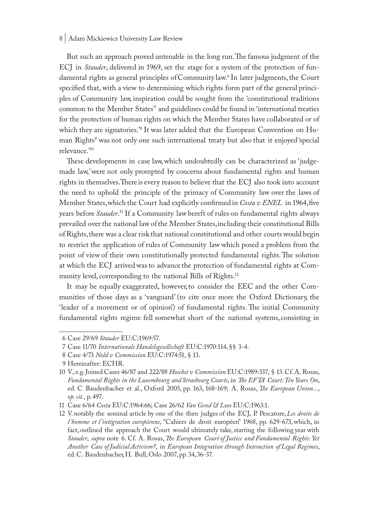But such an approach proved untenable in the long run. The famous judgment of the ECJ in *Stauder*, delivered in 1969, set the stage for a system of the protection of fundamental rights as general principles of Community law.6 In later judgments, the Court specified that, with a view to determining which rights form part of the general principles of Community law, inspiration could be sought from the 'constitutional traditions common to the Member States'7 and guidelines could be found in 'international treaties for the protection of human rights on which the Member States have collaborated or of which they are signatories.'8 It was later added that the European Convention on Human Rights<sup>9</sup> was not only one such international treaty but also that it enjoyed 'special relevance.'10

These developments in case law, which undoubtedly can be characterized as 'judgemade law,' were not only prompted by concerns about fundamental rights and human rights in themselves. There is every reason to believe that the ECJ also took into account the need to uphold the principle of the primacy of Community law over the laws of Member States, which the Court had explicitly confirmed in *Costa v ENEL* in 1964, five years before *Stauder*. <sup>11</sup> If a Community law bereft of rules on fundamental rights always prevailed over the national law of the Member States, including their constitutional Bills of Rights, there was a clear risk that national constitutional and other courts would begin to restrict the application of rules of Community law which posed a problem from the point of view of their own constitutionally protected fundamental rights. The solution at which the ECJ arrived was to advance the protection of fundamental rights at Community level, corresponding to the national Bills of Rights.12

It may be equally exaggerated, however, to consider the EEC and the other Communities of those days as a 'vanguard' (to cite once more the Oxford Dictionary, the 'leader of a movement or of opinion') of fundamental rights. The initial Community fundamental rights regime fell somewhat short of the national systems, consisting in

<sup>6</sup> Case 29/69 *Stauder* EU:C:1969:57.

<sup>7</sup> Case 11/70 *Internationale Handelsgesellschaft* EU:C:1970:114, §§ 3-4.

<sup>8</sup> Case 4/73 *Nold v Commission* EU:C:1974:51, § 13.

<sup>9</sup> Hereinafter: ECHR.

<sup>10</sup> V., e.g. Joined Cases 46/87 and 222/88 *Hoechst v Commission* EU:C:1989:337, § 13. Cf. A. Rosas, *Fundamental Rights in the Luxembourg and Strasbourg Courts*, in *The EFTA Court: Ten Years On*, ed. C Baudenbacher et al., Oxford 2005, pp. 163, 168-169; A. Rosas, *The European Union...*, *op. cit.*, p. 497.

<sup>11</sup> Case 6/64 *Costa* EU:C:1964:66; Case 26/62 *Van Gend & Loos* EU:C:1963:1.

<sup>12</sup> V. notably the seminal article by one of the then judges of the ECJ, P. Pescatore, *Les droits de l 'homme et l 'intégration européenne*, "Cahiers de droit européen" 1968, pp. 629-673, which, in fact, outlined the approach the Court would ultimately take, starting the following year with *Stauder*, *supra* note 6. Cf. A. Rosas, *The European Court of Justice and Fundamental Rights: Yet Another Case of Judicial Activism?*, in *European Integration through Interaction of Legal Regimes*, ed. C. Baudenbacher, H. Bull, Oslo 2007, pp. 34, 36-37.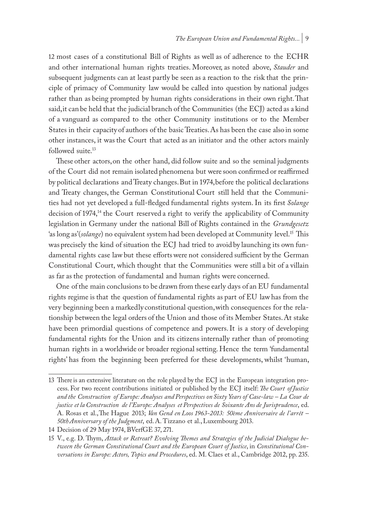12 most cases of a constitutional Bill of Rights as well as of adherence to the ECHR and other international human rights treaties. Moreover, as noted above, *Stauder* and subsequent judgments can at least partly be seen as a reaction to the risk that the principle of primacy of Community law would be called into question by national judges rather than as being prompted by human rights considerations in their own right. That said, it can be held that the judicial branch of the Communities (the ECJ) acted as a kind of a vanguard as compared to the other Community institutions or to the Member States in their capacity of authors of the basic Treaties. As has been the case also in some other instances, it was the Court that acted as an initiator and the other actors mainly followed suite.<sup>13</sup>

These other actors, on the other hand, did follow suite and so the seminal judgments of the Court did not remain isolated phenomena but were soon confirmed or reaffirmed by political declarations and Treaty changes. But in 1974, before the political declarations and Treaty changes, the German Constitutional Court still held that the Communities had not yet developed a full-fledged fundamental rights system. In its first *Solange*  decision of 1974,14 the Court reserved a right to verify the applicability of Community legislation in Germany under the national Bill of Rights contained in the *Grundgesetz* 'as long as' (solange) no equivalent system had been developed at Community level.<sup>15</sup> This was precisely the kind of situation the ECJ had tried to avoid by launching its own fundamental rights case law but these efforts were not considered sufficient by the German Constitutional Court, which thought that the Communities were still a bit of a villain as far as the protection of fundamental and human rights were concerned.

One of the main conclusions to be drawn from these early days of an EU fundamental rights regime is that the question of fundamental rights as part of EU law has from the very beginning been a markedly constitutional question, with consequences for the relationship between the legal orders of the Union and those of its Member States. At stake have been primordial questions of competence and powers. It is a story of developing fundamental rights for the Union and its citizens internally rather than of promoting human rights in a worldwide or broader regional setting. Hence the term 'fundamental rights' has from the beginning been preferred for these developments, whilst 'human,

<sup>13</sup> There is an extensive literature on the role played by the ECJ in the European integration process. For two recent contributions initiated or published by the ECJ itself: *The Court of Justice and the Construction of Europe: Analyses and Perspectives on Sixty Years of Case-law – La Cour de justice et la Construction de l 'Europe: Analyses et Perspectives de Soixante Ans de Jurisprudence*, ed. A. Rosas et al., The Hague 2013; *Van Gend en Loos 1963-2013: 50ème Anniversaire de l 'arrêt – 50th Anniversary of the Judgment*, ed. A. Tizzano et al., Luxembourg 2013.

<sup>14</sup> Decision of 29 May 1974, BVerfGE 37, 271.

<sup>15</sup> V., e.g. D. Thym, *Attack or Retreat? Evolving Themes and Strategies of the Judicial Dialogue between the German Constitutional Court and the European Court of Justice*, in *Constitutional Conversations in Europe: Actors, Topics and Procedures*, ed. M. Claes et al., Cambridge 2012, pp. 235.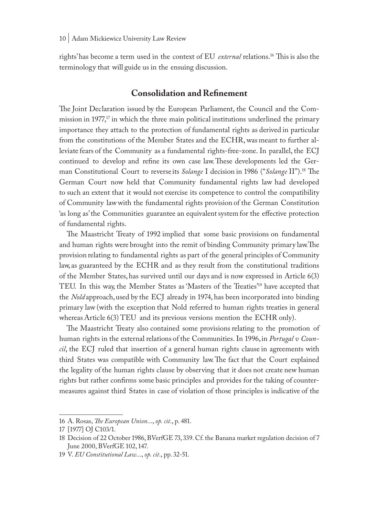rights' has become a term used in the context of EU *external* relations.16 This is also the terminology that will guide us in the ensuing discussion.

# **Consolidation and Refinement**

The Joint Declaration issued by the European Parliament, the Council and the Commission in  $1977<sup>17</sup>$  in which the three main political institutions underlined the primary importance they attach to the protection of fundamental rights as derived in particular from the constitutions of the Member States and the ECHR, was meant to further alleviate fears of the Community as a fundamental rights-free-zone. In parallel, the ECJ continued to develop and refine its own case law. These developments led the German Constitutional Court to reverse its *Solange* I decision in 1986 ("*Solange* II").18 The German Court now held that Community fundamental rights law had developed to such an extent that it would not exercise its competence to control the compatibility of Community law with the fundamental rights provision of the German Constitution 'as long as' the Communities guarantee an equivalent system for the effective protection of fundamental rights.

The Maastricht Treaty of 1992 implied that some basic provisions on fundamental and human rights were brought into the remit of binding Community primary law. The provision relating to fundamental rights as part of the general principles of Community law, as guaranteed by the ECHR and as they result from the constitutional traditions of the Member States, has survived until our days and is now expressed in Article 6(3) TEU. In this way, the Member States as 'Masters of the Treaties'19 have accepted that the *Nold* approach, used by the ECJ already in 1974, has been incorporated into binding primary law (with the exception that Nold referred to human rights treaties in general whereas Article 6(3) TEU and its previous versions mention the ECHR only).

The Maastricht Treaty also contained some provisions relating to the promotion of human rights in the external relations of the Communities. In 1996, in *Portugal v Council*, the ECJ ruled that insertion of a general human rights clause in agreements with third States was compatible with Community law. The fact that the Court explained the legality of the human rights clause by observing that it does not create new human rights but rather confirms some basic principles and provides for the taking of countermeasures against third States in case of violation of those principles is indicative of the

<sup>16</sup> A. Rosas, *The European Union*..., *op. cit*., p. 481.

<sup>17</sup> [1977] OJ C103/1.

<sup>18</sup> Decision of 22 October 1986, BVerfGE 73, 339. Cf. the Banana market regulation decision of 7 June 2000, BVerfGE 102, 147.

<sup>19</sup> V. *EU Constitutional Law*..., *op. cit*., pp. 32-51.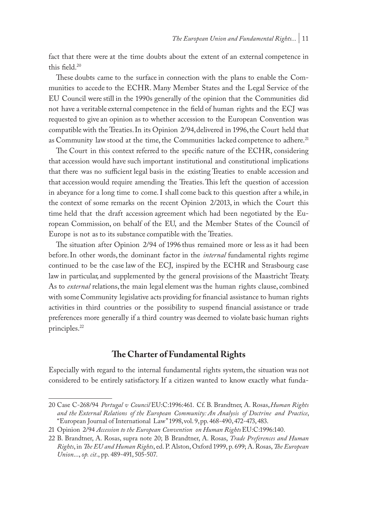fact that there were at the time doubts about the extent of an external competence in this field  $20$ 

These doubts came to the surface in connection with the plans to enable the Communities to accede to the ECHR. Many Member States and the Legal Service of the EU Council were still in the 1990s generally of the opinion that the Communities did not have a veritable external competence in the field of human rights and the ECJ was requested to give an opinion as to whether accession to the European Convention was compatible with the Treaties. In its Opinion 2/94, delivered in 1996, the Court held that as Community law stood at the time, the Communities lacked competence to adhere.<sup>21</sup>

The Court in this context referred to the specific nature of the ECHR, considering that accession would have such important institutional and constitutional implications that there was no sufficient legal basis in the existing Treaties to enable accession and that accession would require amending the Treaties. This left the question of accession in abeyance for a long time to come. I shall come back to this question after a while, in the context of some remarks on the recent Opinion 2/2013, in which the Court this time held that the draft accession agreement which had been negotiated by the European Commission, on behalf of the EU, and the Member States of the Council of Europe is not as to its substance compatible with the Treaties.

The situation after Opinion 2/94 of 1996 thus remained more or less as it had been before. In other words, the dominant factor in the *internal* fundamental rights regime continued to be the case law of the ECJ, inspired by the ECHR and Strasbourg case law in particular, and supplemented by the general provisions of the Maastricht Treaty. As to *external* relations, the main legal element was the human rights clause, combined with some Community legislative acts providing for financial assistance to human rights activities in third countries or the possibility to suspend financial assistance or trade preferences more generally if a third country was deemed to violate basic human rights principles.<sup>22</sup>

## **The Charter of Fundamental Rights**

Especially with regard to the internal fundamental rights system, the situation was not considered to be entirely satisfactory. If a citizen wanted to know exactly what funda-

<sup>20</sup> Case C-268/94 *Portugal v Council* EU:C:1996:461. Cf. B. Brandtner, A. Rosas, *Human Rights and the External Relations of the European Community: An Analysis of Doctrine and Practice*, "European Journal of International Law" 1998, vol. 9, pp. 468-490, 472-473, 483.

<sup>21</sup> Opinion 2/94 *Accession to the European Convention on Human Rights* EU:C:1996:140.

<sup>22</sup> B. Brandtner, A. Rosas, supra note 20; B Brandtner, A. Rosas, *Trade Preferences and Human Rights*, in *The EU and Human Rights*, ed. P. Alston, Oxford 1999, p. 699; A. Rosas, *The European Union*..., *op. cit*., pp. 489-491, 505-507.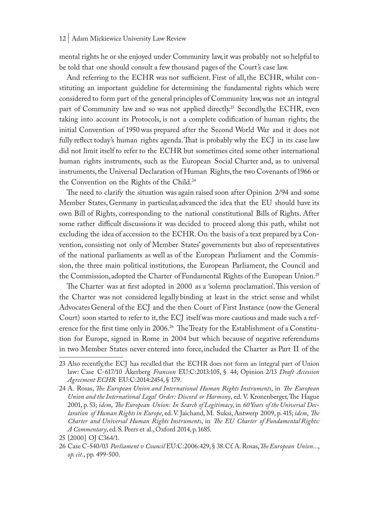mental rights he or she enjoyed under Community law, it was probably not so helpful to be told that one should consult a few thousand pages of the Court's case law.

And referring to the ECHR was not sufficient. First of all, the ECHR, whilst constituting an important guideline for determining the fundamental rights which were considered to form part of the general principles of Community law, was not an integral part of Community law and so was not applied directly.<sup>23</sup> Secondly, the ECHR, even taking into account its Protocols, is not a complete codification of human rights; the initial Convention of 1950 was prepared after the Second World War and it does not fully reflect today's human rights agenda. That is probably why the ECJ in its case law did not limit itself to refer to the ECHR but sometimes cited some other international human rights instruments, such as the European Social Charter and, as to universal instruments, the Universal Declaration of Human Rights, the two Covenants of 1966 or the Convention on the Rights of the Child.24

The need to clarify the situation was again raised soon after Opinion 2/94 and some Member States, Germany in particular, advanced the idea that the EU should have its own Bill of Rights, corresponding to the national constitutional Bills of Rights. After some rather difficult discussions it was decided to proceed along this path, whilst not excluding the idea of accession to the ECHR. On the basis of a text prepared by a Convention, consisting not only of Member States' governments but also of representatives of the national parliaments as well as of the European Parliament and the Commission, the three main political institutions, the European Parliament, the Council and the Commission, adopted the Charter of Fundamental Rights of the European Union.<sup>25</sup>

The Charter was at first adopted in 2000 as a 'solemn proclamation'. This version of the Charter was not considered legally binding at least in the strict sense and whilst Advocates General of the ECJ and the then Court of First Instance (now the General Court) soon started to refer to it, the ECJ itself was more cautious and made such a reference for the first time only in 2006.<sup>26</sup> The Treaty for the Establishment of a Constitution for Europe, signed in Rome in 2004 but which because of negative referendums in two Member States never entered into force, included the Charter as Part II of the

<sup>23</sup> Also recently, the ECJ has recalled that the ECHR does not form an integral part of Union law: Case C-617/10 Åkerberg *Fransson* EU:C:2013:105, § 44; Opinion 2/13 *Draft Accession Agreement ECHR* EU:C:2014:2454, § 179.

<sup>24</sup> A. Rosas, *The European Union and International Human Rights Instruments*, in *The European Union and the International Legal Order: Discord or Harmony*, ed. V. Kronenberger, The Hague 2001, p. 53; *idem*, *The European Union: In Search of Legitimacy*, in *60 Years of the Universal Declaration of Human Rights in Europe*, ed. V. Jaichand, M. Suksi, Antwerp 2009, p. 415; *idem*, *The Charter and Universal Human Rights Instruments*, in *The EU Charter of Fundamental Rights: A Commentary*, ed. S. Peers et al., Oxford 2014, p. 1685.

<sup>25</sup> [2000] OJ C364/1.

<sup>26</sup> Case C-540/03 *Parliament v Council* EU:C:2006:429, § 38. Cf. A. Rosas, *The European Union...*, *op. cit.*, pp. 499-500.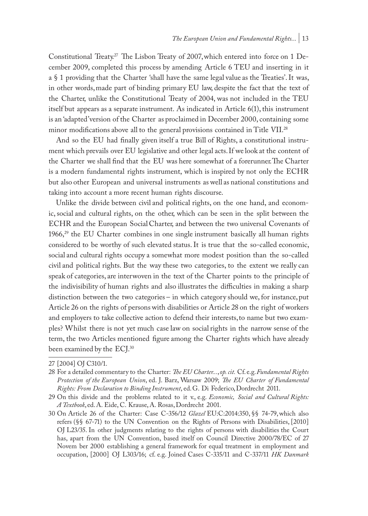Constitutional Treaty.27 The Lisbon Treaty of 2007, which entered into force on 1 December 2009, completed this process by amending Article 6 TEU and inserting in it a § 1 providing that the Charter 'shall have the same legal value as the Treaties'. It was, in other words, made part of binding primary EU law, despite the fact that the text of the Charter, unlike the Constitutional Treaty of 2004, was not included in the TEU itself but appears as a separate instrument. As indicated in Article 6(1), this instrument is an 'adapted' version of the Charter as proclaimed in December 2000, containing some minor modifications above all to the general provisions contained in Title VII.28

And so the EU had finally given itself a true Bill of Rights, a constitutional instrument which prevails over EU legislative and other legal acts. If we look at the content of the Charter we shall find that the EU was here somewhat of a forerunner. The Charter is a modern fundamental rights instrument, which is inspired by not only the ECHR but also other European and universal instruments as well as national constitutions and taking into account a more recent human rights discourse.

Unlike the divide between civil and political rights, on the one hand, and economic, social and cultural rights, on the other, which can be seen in the split between the ECHR and the European Social Charter, and between the two universal Covenants of 1966,<sup>29</sup> the EU Charter combines in one single instrument basically all human rights considered to be worthy of such elevated status. It is true that the so-called economic, social and cultural rights occupy a somewhat more modest position than the so-called civil and political rights. But the way these two categories, to the extent we really can speak of categories, are interwoven in the text of the Charter points to the principle of the indivisibility of human rights and also illustrates the difficulties in making a sharp distinction between the two categories – in which category should we, for instance, put Article 26 on the rights of persons with disabilities or Article 28 on the right of workers and employers to take collective action to defend their interests, to name but two examples? Whilst there is not yet much case law on social rights in the narrow sense of the term, the two Articles mentioned figure among the Charter rights which have already been examined by the ECJ.30

<sup>27</sup> [2004] OJ C310/1.

<sup>28</sup> For a detailed commentary to the Charter: *The EU Charter...*, *op. cit.* Cf. e.g. *Fundamental Rights Protection of the European Union*, ed. J. Barz, Warsaw 2009; *The EU Charter of Fundamental Rights: From Declaration to Binding Instrument*, ed. G. Di Federico, Dordrecht 2011.

<sup>29</sup> On this divide and the problems related to it v., e.g. *Economic, Social and Cultural Rights: A Textbook*, ed. A. Eide, C. Krause, A. Rosas, Dordrecht 2001.

<sup>30</sup> On Article 26 of the Charter: Case C-356/12 *Glazel* EU:C:2014:350, §§ 74-79, which also refers (§§ 67-71) to the UN Convention on the Rights of Persons with Disabilities, [2010] OJ L23/35. In other judgments relating to the rights of persons with disabilities the Court has, apart from the UN Convention, based itself on Council Directive 2000/78/EC of 27 Novem ber 2000 establishing a general framework for equal treatment in employment and occupation, [2000] OJ L303/16; cf. e.g. Joined Cases C-335/11 and C-337/11 *HK Danmark*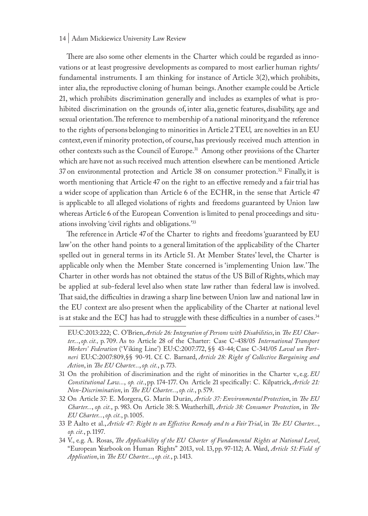There are also some other elements in the Charter which could be regarded as innovations or at least progressive developments as compared to most earlier human rights/ fundamental instruments. I am thinking for instance of Article  $3(2)$ , which prohibits, inter alia, the reproductive cloning of human beings. Another example could be Article 21, which prohibits discrimination generally and includes as examples of what is prohibited discrimination on the grounds of, inter alia, genetic features, disability, age and sexual orientation. The reference to membership of a national minority, and the reference to the rights of persons belonging to minorities in Article 2 TEU, are novelties in an EU c*o*ntext, even if minority protection, of course, has previously received much attention in other contexts such as the Council of Europe.31 Among other provisions of the Charter which are have not as such received much attention elsewhere can be mentioned Article 37 on environmental protection and Article 38 on consumer protection.<sup>32</sup> Finally, it is worth mentioning that Article 47 on the right to an effective remedy and a fair trial has a wider scope of application than Article 6 of the ECHR, in the sense that Article 47 is applicable to all alleged violations of rights and freedoms guaranteed by Union law whereas Article 6 of the European Convention is limited to penal proceedings and situations involving 'civil rights and obligations.'33

The reference in Article 47 of the Charter to rights and freedoms 'guaranteed by EU law' on the other hand points to a general limitation of the applicability of the Charter spelled out in general terms in its Article 51. At Member States' level, the Charter is applicable only when the Member State concerned is 'implementing Union law.' The Charter in other words has not obtained the status of the US Bill of Rights, which may be applied at sub-federal level also when state law rather than federal law is involved. That said, the difficulties in drawing a sharp line between Union law and national law in the EU context are also present when the applicability of the Charter at national level is at stake and the ECJ has had to struggle with these difficulties in a number of cases.<sup>34</sup>

- 32 On Article 37: E. Morgera, G. Marín Durán, *Article 37: Environmental Protection*, in *The EU Charter...*, *op. cit.*, p. 983. On Article 38: S. Weatherhill, *Article 38: Consumer Protection*, in *The EU Charter...*, *op. cit.*, p. 1005.
- 33 P. Aalto et al., *Article 47: Right to an Effective Remedy and to a Fair Trial*, in *The EU Charter...*, *op. cit.*, p. 1197.
- 34 V., e.g. A. Rosas, *The Applicability of the EU Charter of Fundamental Rights at National Level*, "European Yearbook on Human Rights" 2013, vol. 13, pp. 97-112; A. Ward, *Article 51: Field of Application*, in *The EU Charter...*, *op. cit.*, p. 1413.

EU:C:2013:222; C. O'Brien, *Article 26: Integration of Persons with Disabilities*, in *The EU Charter...*, *op. cit.,* p. 709. As to Article 28 of the Charter: Case C-438/05 *International Transport Workers' Federation* ('Viking Line') EU:C:2007:772, §§ 43-44; Case C-341/05 *Laval un Partneri* EU:C:2007:809,§§ 90-91. Cf. C. Barnard, *Article 28: Right of Collective Bargaining and Action*, in *The EU Charter...*, *op. cit.*, p. 773.

<sup>31</sup> On the prohibition of discrimination and the right of minorities in the Charter v., e.g. *EU Constitutional Law...*, *op. cit.*, pp. 174-177. On Article 21 specifically: C. Kilpatrick, *Article 21: Non-Discrimination*, in *The EU Charter...*, *op. cit.*, p. 579.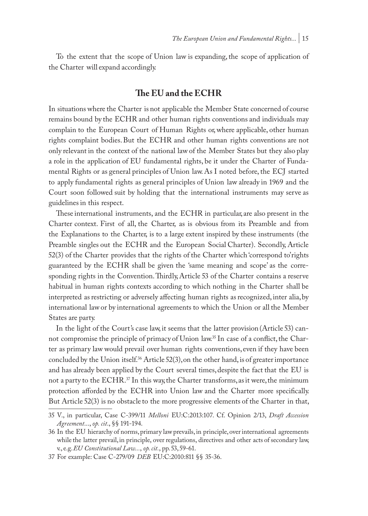To the extent that the scope of Union law is expanding, the scope of application of the Charter will expand accordingly.

## **The EU and the ECHR**

In situations where the Charter is not applicable the Member State concerned of course remains bound by the ECHR and other human rights conventions and individuals may complain to the European Court of Human Rights or, where applicable, other human rights complaint bodies. But the ECHR and other human rights conventions are not only relevant in the context of the national law of the Member States but they also play a role in the application of EU fundamental rights, be it under the Charter of Fundamental Rights or as general principles of Union law. As I noted before, the ECJ started to apply fundamental rights as general principles of Union law already in 1969 and the Court soon followed suit by holding that the international instruments may serve as guidelines in this respect.

These international instruments, and the ECHR in particular, are also present in the Charter context. First of all, the Charter, as is obvious from its Preamble and from the Explanations to the Charter, is to a large extent inspired by these instruments (the Preamble singles out the ECHR and the European Social Charter). Secondly, Article 52(3) of the Charter provides that the rights of the Charter which 'correspond to' rights guaranteed by the ECHR shall be given the 'same meaning and scope' as the corresponding rights in the Convention. Thirdly, Article 53 of the Charter contains a reserve habitual in human rights contexts according to which nothing in the Charter shall be interpreted as restricting or adversely affecting human rights as recognized, inter alia, by international law or by international agreements to which the Union or all the Member States are party.

In the light of the Court's case law, it seems that the latter provision (Article 53) cannot compromise the principle of primacy of Union law.<sup>35</sup> In case of a conflict, the Charter as primary law would prevail over human rights conventions, even if they have been concluded by the Union itself.<sup>36</sup> Article  $52(3)$ , on the other hand, is of greater importance and has already been applied by the Court several times, despite the fact that the EU is not a party to the  $\mathrm{ECHR}^{37}$  In this way, the Charter transforms, as it were, the minimum protection afforded by the ECHR into Union law and the Charter more specifically. But Article 52(3) is no obstacle to the more progressive elements of the Charter in that,

<sup>35</sup> V., in particular, Case C-399/11 *Melloni* EU:C:2013:107. Cf. Opinion 2/13, *Draft Accession Agreement*..., *op. cit*., §§ 191-194.

<sup>36</sup> In the EU hierarchy of norms, primary law prevails, in principle, over international agreements while the latter prevail, in principle, over regulations, directives and other acts of secondary law, v., e.g. *EU Constitutional Law...*, *op. cit.*, pp. 53, 59-61.

<sup>37</sup> For example: Case C-279/09 *DEB* EU:C:2010:811 §§ 35-36.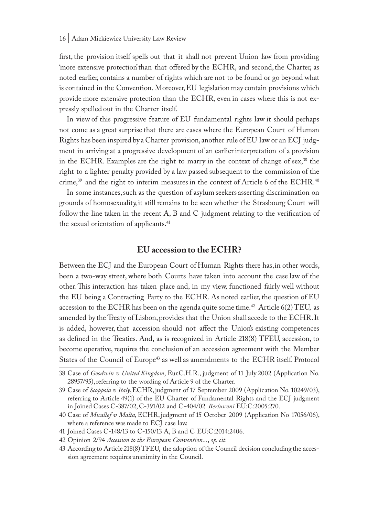first, the provision itself spells out that it shall not prevent Union law from providing 'more extensive protection' than that offered by the ECHR, and second, the Charter, as noted earlier, contains a number of rights which are not to be found or go beyond what is contained in the Convention. Moreover, EU legislation may contain provisions which provide more extensive protection than the ECHR, even in cases where this is not expressly spelled out in the Charter itself.

In view of this progressive feature of EU fundamental rights law it should perhaps not come as a great surprise that there are cases where the European Court of Human Rights has been inspired by a Charter provision, another rule of EU law or an ECJ judgment in arriving at a progressive development of an earlier interpretation of a provision in the ECHR. Examples are the right to marry in the context of change of sex,<sup>38</sup> the right to a lighter penalty provided by a law passed subsequent to the commission of the crime,39 and the right to interim measures in the context of Article 6 of the ECHR.40

In some instances, such as the question of asylum seekers asserting discrimination on grounds of homosexuality, it still remains to be seen whether the Strasbourg Court will follow the line taken in the recent A, B and C judgment relating to the verification of the sexual orientation of applicants.<sup>41</sup>

# **EU accession to the ECHR?**

Between the ECJ and the European Court of Human Rights there has, in other words, been a two-way street, where both Courts have taken into account the case law of the other. This interaction has taken place and, in my view, functioned fairly well without the EU being a Contracting Party to the ECHR. As noted earlier, the question of EU accession to the ECHR has been on the agenda quite some time.<sup>42</sup> Article  $6(2)$  TEU, as amended by the Treaty of Lisbon, provides that the Union shall accede to the ECHR. It is added, however, that accession should not affect the Union's existing competences as defined in the Treaties. And, as is recognized in Article 218(8) TFEU, accession, to become operative, requires the conclusion of an accession agreement with the Member States of the Council of Europe<sup>43</sup> as well as amendments to the ECHR itself. Protocol

<sup>38</sup> Case of *Goodwin v United Kingdom*, Eur.C.H.R., judgment of 11 July 2002 (Application No. 28957/95), referring to the wording of Article 9 of the Charter.

<sup>39</sup> Case of *Scoppola v Italy*, ECHR, judgment of 17 September 2009 (Application No. 10249/03), referring to Article 49(1) of the EU Charter of Fundamental Rights and the ECJ judgment in Joined Cases C-387/02, C-391/02 and C-404/02 *Berlusconi* EU:C:2005:270.

<sup>40</sup> Case of *Micallef v Malta*, ECHR, judgment of 15 October 2009 (Application No 17056/06), where a reference was made to ECJ case law.

<sup>41</sup> Joined Cases C-148/13 to C-150/13 A, B and C EU:C:2014:2406.

<sup>42</sup> Opinion 2/94 *Accession to the European Convention...*, *op. cit*.

<sup>43</sup> According to Article 218(8) TFEU, the adoption of the Council decision concluding the accession agreement requires unanimity in the Council.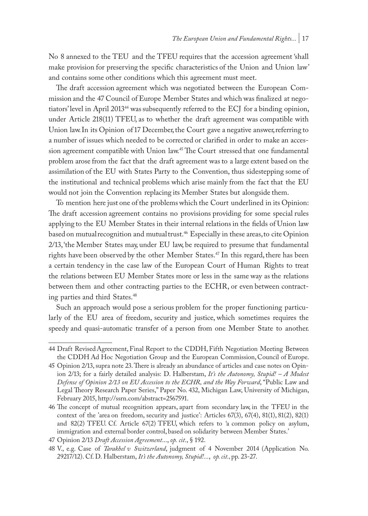No 8 annexed to the TEU and the TFEU requires that the accession agreement 'shall make provision for preserving the specific characteristics of the Union and Union law' and contains some other conditions which this agreement must meet.

The draft accession agreement which was negotiated between the European Commission and the 47 Council of Europe Member States and which was finalized at negotiators' level in April 201344 was subsequently referred to the ECJ for a binding opinion, under Article 218(11) TFEU, as to whether the draft agreement was compatible with Union law. In its Opinion of 17 December, the Court gave a negative answer, referring to a number of issues which needed to be corrected or clarified in order to make an accession agreement compatible with Union law.45 The Court stressed that one fundamental problem arose from the fact that the draft agreement was to a large extent based on the assimilation of the EU with States Party to the Convention, thus sidestepping some of the institutional and technical problems which arise mainly from the fact that the EU would not join the Convention replacing its Member States but alongside them.

To mention here just one of the problems which the Court underlined in its Opinion: The draft accession agreement contains no provisions providing for some special rules applying to the EU Member States in their internal relations in the fields of Union law based on mutual recognition and mutual trust.<sup>46</sup> Especially in these areas, to cite Opinion 2/13, 'the Member States may, under EU law, be required to presume that fundamental rights have been observed by the other Member States.<sup>47</sup> In this regard, there has been a certain tendency in the case law of the European Court of Human Rights to treat the relations between EU Member States more or less in the same way as the relations between them and other contracting parties to the ECHR, or even between contracting parties and third States.48

Such an approach would pose a serious problem for the proper functioning particularly of the EU area of freedom, security and justice, which sometimes requires the speedy and quasi-automatic transfer of a person from one Member State to another.

<sup>44</sup> Draft Revised Agreement, Final Report to the CDDH, Fifth Negotiation Meeting Between the CDDH Ad Hoc Negotiation Group and the European Commission, Council of Europe.

<sup>45</sup> Opinion 2/13, supra note 23. There is already an abundance of articles and case notes on Opinion 2/13; for a fairly detailed analysis: D. Halberstam, *It's the Autonomy, Stupid! – A Modest Defense of Opinion 2/13 on EU Accession to the ECHR, and the Way Forward*, "Public Law and Legal Theory Research Paper Series," Paper No. 432, Michigan Law, University of Michigan, February 2015, http://ssrn.com/abstract=2567591.

<sup>46</sup> The concept of mutual recognition appears, apart from secondary law, in the TFEU in the context of the 'area on freedom, security and justice': Articles 67(3), 67(4), 81(1), 81(2), 82(1) and 82(2) TFEU. Cf. Article 67(2) TFEU, which refers to 'a common policy on asylum, immigration and external border control, based on solidarity between Member States.'

<sup>47</sup> Opinion 2/13 *Draft Accession Agreement*..., *op. cit*., § 192.

<sup>48</sup> V., e.g. Case of *Tarakhel v Switzerland*, judgment of 4 November 2014 (Application No. 29217/12). Cf. D. Halberstam, *It's the Autonomy, Stupid!...*, *op. cit.,* pp. 23-27.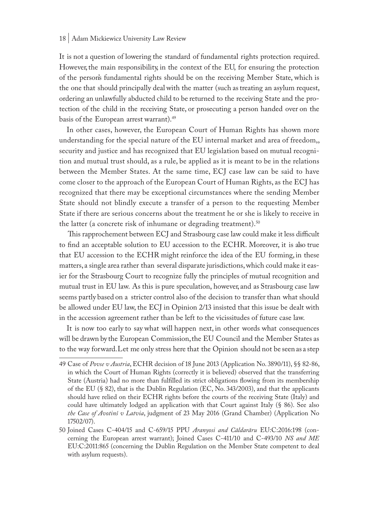It is not a question of lowering the standard of fundamental rights protection required. However, the main responsibility, in the context of the EU, for ensuring the protection of the person's fundamental rights should be on the receiving Member State, which is the one that should principally deal with the matter (such as treating an asylum request, ordering an unlawfully abducted child to be returned to the receiving State and the protection of the child in the receiving State, or prosecuting a person handed over on the basis of the European arrest warrant).49

In other cases, however, the European Court of Human Rights has shown more understanding for the special nature of the EU internal market and area of freedom,, security and justice and has recognized that EU legislation based on mutual recognition and mutual trust should, as a rule, be applied as it is meant to be in the relations between the Member States. At the same time, ECJ case law can be said to have come closer to the approach of the European Court of Human Rights, as the ECJ has recognized that there may be exceptional circumstances where the sending Member State should not blindly execute a transfer of a person to the requesting Member State if there are serious concerns about the treatment he or she is likely to receive in the latter (a concrete risk of inhumane or degrading treatment).<sup>50</sup>

 This rapprochement between ECJ and Strasbourg case law could make it less difficult to find an acceptable solution to EU accession to the ECHR. Moreover, it is also true that EU accession to the ECHR might reinforce the idea of the EU forming, in these matters, a single area rather than several disparate jurisdictions, which could make it easier for the Strasbourg Court to recognize fully the principles of mutual recognition and mutual trust in EU law. As this is pure speculation, however, and as Strasbourg case law seems partly based on a stricter control also of the decision to transfer than what should be allowed under EU law, the ECJ in Opinion 2/13 insisted that this issue be dealt with in the accession agreement rather than be left to the vicissitudes of future case law.

It is now too early to say what will happen next, in other words what consequences will be drawn by the European Commission, the EU Council and the Member States as to the way forward. Let me only stress here that the Opinion should not be seen as a step

<sup>49</sup> Case of *Povse v Austria*, ECHR decision of 18 June 2013 (Application No. 3890/11), §§ 82-86, in which the Court of Human Rights (correctly it is believed) observed that the transferring State (Austria) had no more than fulfilled its strict obligations flowing from its membership of the EU (§ 82), that is the Dublin Regulation (EC, No. 343/2003), and that the applicants should have relied on their ECHR rights before the courts of the receiving State (Italy) and could have ultimately lodged an application with that Court against Italy (§ 86). See also *the Case of Avotinš v Latvia*, judgment of 23 May 2016 (Grand Chamber) (Application No 17502/07).

<sup>50</sup> Joined Cases C-404/15 and C-659/15 PPU *Aranyosi and Căldarăru* EU:C:2016:198 (concerning the European arrest warrant); Joined Cases C-411/10 and C-493/10 *NS and ME*  EU:C:2011:865 (concerning the Dublin Regulation on the Member State competent to deal with asylum requests).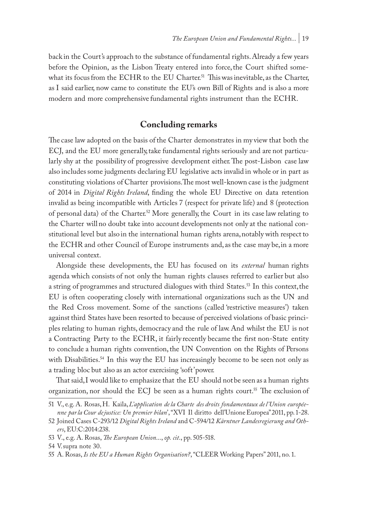back in the Court's approach to the substance of fundamental rights. Already a few years before the Opinion, as the Lisbon Treaty entered into force, the Court shifted somewhat its focus from the ECHR to the EU Charter.<sup>51</sup> This was inevitable, as the Charter, as I said earlier, now came to constitute the EU's own Bill of Rights and is also a more modern and more comprehensive fundamental rights instrument than the ECHR.

## **Concluding remarks**

The case law adopted on the basis of the Charter demonstrates in my view that both the ECJ, and the EU more generally, take fundamental rights seriously and are not particularly shy at the possibility of progressive development either. The post-Lisbon case law also includes some judgments declaring EU legislative acts invalid in whole or in part as constituting violations of Charter provisions. The most well-known case is the judgment of 2014 in *Digital Rights Ireland*, finding the whole EU Directive on data retention invalid as being incompatible with Articles 7 (respect for private life) and 8 (protection of personal data) of the Charter.<sup>52</sup> More generally, the Court in its case law relating to the Charter will no doubt take into account developments not only at the national constitutional level but also in the international human rights arena, notably with respect to the ECHR and other Council of Europe instruments and, as the case may be, in a more universal context.

Alongside these developments, the EU has focused on its *external* human rights agenda which consists of not only the human rights clauses referred to earlier but also a string of programmes and structured dialogues with third States.<sup>53</sup> In this context, the EU is often cooperating closely with international organizations such as the UN and the Red Cross movement. Some of the sanctions (called 'restrictive measures') taken against third States have been resorted to because of perceived violations of basic principles relating to human rights, democracy and the rule of law. And whilst the EU is not a Contracting Party to the ECHR, it fairly recently became the first non-State entity to conclude a human rights convention, the UN Convention on the Rights of Persons with Disabilities.<sup>54</sup> In this way the EU has increasingly become to be seen not only as a trading bloc but also as an actor exercising 'soft' power.

That said, I would like to emphasize that the EU should not be seen as a human rights organization, nor should the ECJ be seen as a human rights court.<sup>55</sup> The exclusion of

<sup>51</sup> V., e.g. A. Rosas, H. Kaila, *L'application de la Charte des droits fondamentaux de l 'Union européenne par la Cour de justice: Un premier bilan*', "XVI Il diritto dell'Unione Europea" 2011, pp. 1-28.

<sup>52</sup> Joined Cases C-293/12 *Digital Rights Ireland* and C-594/12 *Kärntner Landesregierung and Others*, EU:C:2014:238.

<sup>53</sup> V., e.g. A. Rosas, *The European Union*..., *op. cit*., pp. 505-518.

<sup>54</sup> V. supra note 30.

<sup>55</sup> A. Rosas, *Is the EU a Human Rights Organisation?*, "CLEER Working Papers" 2011, no. 1.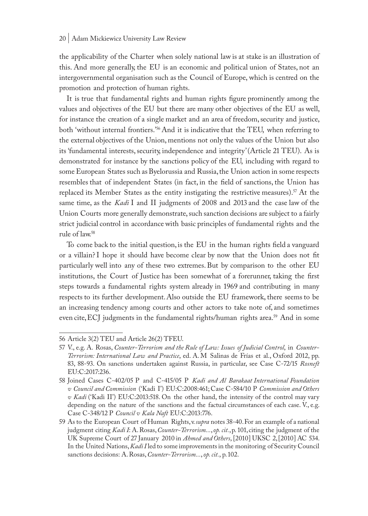the applicability of the Charter when solely national law is at stake is an illustration of this. And more generally, the EU is an economic and political union of States, not an intergovernmental organisation such as the Council of Europe, which is centred on the promotion and protection of human rights.

It is true that fundamental rights and human rights figure prominently among the values and objectives of the EU but there are many other objectives of the EU as well, for instance the creation of a single market and an area of freedom, security and justice, both 'without internal frontiers.'56 And it is indicative that the TEU, when referring to the external objectives of the Union, mentions not only the values of the Union but also its 'fundamental interests, security, independence and integrity' (Article 21 TEU). As is demonstrated for instance by the sanctions policy of the EU, including with regard to some European States such as Byelorussia and Russia, the Union action in some respects resembles that of independent States (in fact, in the field of sanctions, the Union has replaced its Member States as the entity instigating the restrictive measures).<sup>57</sup> At the same time, as the *Kadi* I and II judgments of 2008 and 2013 and the case law of the Union Courts more generally demonstrate, such sanction decisions are subject to a fairly strict judicial control in accordance with basic principles of fundamental rights and the rule of law.58

To come back to the initial question, is the EU in the human rights field a vanguard or a villain? I hope it should have become clear by now that the Union does not fit particularly well into any of these two extremes. But by comparison to the other EU institutions, the Court of Justice has been somewhat of a forerunner, taking the first steps towards a fundamental rights system already in 1969 and contributing in many respects to its further development. Also outside the EU framework, there seems to be an increasing tendency among courts and other actors to take note of, and sometimes even cite, ECJ judgments in the fundamental rights/human rights area.59 And in some

<sup>56</sup> Article 3(2) TEU and Article 26(2) TFEU.

<sup>57</sup> V., e.g. A. Rosas, *Counter-Terrorism and the Rule of Law: Issues of Judicial Control*, in *Counter-Terrorism: International Law and Practice*, ed. A. M Salinas de Frías et al., Oxford 2012, pp. 83, 88-93. On sanctions undertaken against Russia, in particular, see Case C-72/15 *Rosneft*  EU:C:2017:236.

<sup>58</sup> Joined Cases C-402/05 P and C-415/05 P *Kadi and Al Barakaat International Foundation v Council and Commission* ('Kadi I') EU:C:2008:461; Case C-584/10 P *Commission and Others v Kadi* ('Kadi II') EU:C:2013:518. On the other hand, the intensity of the control may vary depending on the nature of the sanctions and the factual circumstances of each case. V., e.g. Case C-348/12 P *Council v Kala Naft* EU:C:2013:776.

<sup>59</sup> As to the European Court of Human Rights, v. *supra* notes 38-40. For an example of a national judgment citing *Kadi I*: A. Rosas, *Counter-Terrorism...*, *op. cit.*, p. 101, citing the judgment of the UK Supreme Court of 27 January 2010 in *Ahmed and Others*, [2010] UKSC 2, [2010] AC 534. In the United Nations, *Kadi I* led to some improvements in the monitoring of Security Council sanctions decisions: A. Rosas, *Counter-Terrorism...*, *op. cit.*, p. 102.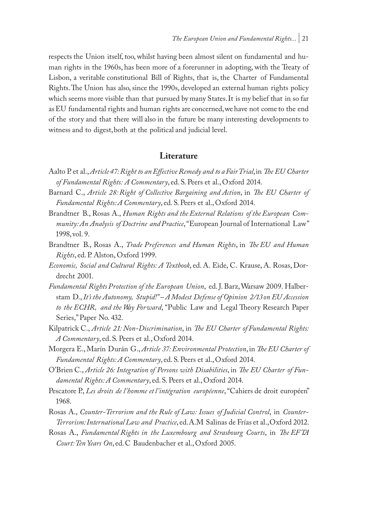respects the Union itself, too, whilst having been almost silent on fundamental and human rights in the 1960s, has been more of a forerunner in adopting, with the Treaty of Lisbon, a veritable constitutional Bill of Rights, that is, the Charter of Fundamental Rights. The Union has also, since the 1990s, developed an external human rights policy which seems more visible than that pursued by many States. It is my belief that in so far as EU fundamental rights and human rights are concerned, we have not come to the end of the story and that there will also in the future be many interesting developments to witness and to digest, both at the political and judicial level.

## **Literature**

- Aalto P. et al., *Article 47: Right to an Effective Remedy and to a Fair Trial*, in *The EU Charter of Fundamental Rights: A Commentary*, ed. S. Peers et al., Oxford 2014.
- Barnard C., *Article 28: Right of Collective Bargaining and Action*, in *The EU Charter of Fundamental Rights: A Commentary*, ed. S. Peers et al., Oxford 2014.
- Brandtner B., Rosas A., *Human Rights and the External Relations of the European Community: An Analysis of Doctrine and Practice*, "European Journal of International Law" 1998, vol. 9.
- Brandtner B., Rosas A., *Trade Preferences and Human Rights*, in *The EU and Human Rights*, ed. P. Alston, Oxford 1999.
- *Economic, Social and Cultural Rights: A Textbook*, ed. A. Eide, C. Krause, A. Rosas, Dordrecht 2001.
- *Fundamental Rights Protection of the European Union*, ed. J. Barz, Warsaw 2009. Halberstam D., *It's the Autonomy, Stupid!" – A Modest Defense of Opinion 2/13 on EU Accession to the ECHR, and the Way Forward*, "Public Law and Legal Theory Research Paper Series," Paper No. 432.
- Kilpatrick C., *Article 21: Non-Discrimination*, in *The EU Charter of Fundamental Rights: A Commentary*, ed. S. Peers et al., Oxford 2014.
- Morgera E., Marín Durán G., *Article 37: Environmental Protection*, in *The EU Charter of Fundamental Rights: A Commentary*, ed. S. Peers et al., Oxford 2014.
- O'Brien C., *Article 26: Integration of Persons with Disabilities*, in *The EU Charter of Fundamental Rights: A Commentary*, ed. S. Peers et al., Oxford 2014.
- Pescatore P., *Les droits de l 'homme et l 'intégration européenne*, "Cahiers de droit européen" 1968.
- Rosas A., *Counter-Terrorism and the Rule of Law: Issues of Judicial Control*, in *Counter-Terrorism: International Law and Practice*, ed. A.M Salinas de Frías et al., Oxford 2012.
- Rosas A., *Fundamental Rights in the Luxembourg and Strasbourg Courts*, in *The EFTA Court: Ten Years On*, ed. C Baudenbacher et al., Oxford 2005.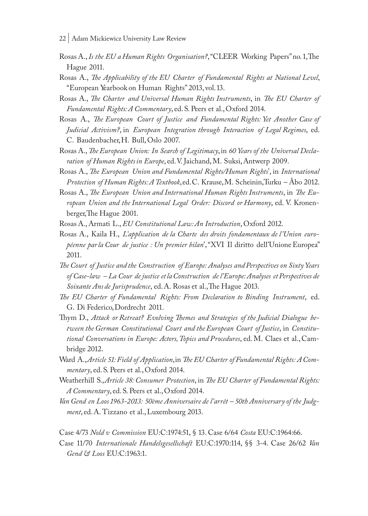- 22 | Adam Mickiewicz University Law Review
- Rosas A., *Is the EU a Human Rights Organisation?*, "CLEER Working Papers" no. 1, The Hague 2011.
- Rosas A., *The Applicability of the EU Charter of Fundamental Rights at National Level*, "European Yearbook on Human Rights" 2013, vol. 13.
- Rosas A., *The Charter and Universal Human Rights Instruments*, in *The EU Charter of Fundamental Rights: A Commentary*, ed. S. Peers et al., Oxford 2014.
- Rosas A., *The European Court of Justice and Fundamental Rights: Yet Another Case of Judicial Activism?*, in *European Integration through Interaction of Legal Regimes*, ed. C. Baudenbacher, H. Bull, Oslo 2007.
- Rosas A., *The European Union: In Search of Legitimacy*, in *60 Years of the Universal Declaration of Human Rights in Europe*, ed. V. Jaichand, M. Suksi, Antwerp 2009.
- Rosas A., *The European Union and Fundamental Rights/Human Rights*', in *International Protection of Human Rights: A Textbook*, ed. C. Krause, M. Scheinin, Turku – Åbo 2012.
- Rosas A., *The European Union and International Human Rights Instruments*, in *The European Union and the International Legal Order: Discord or Harmony*, ed. V. Kronenberger, The Hague 2001.
- Rosas A., Armati L., *EU Constitutional Law: An Introduction*, Oxford 2012.
- Rosas A., Kaila H., *L'application de la Charte des droits fondamentaux de l'Union européenne par la Cour de justice : Un premier bilan*', "XVI Il diritto dell'Unione Europea" 2011.
- *The Court of Justice and the Construction of Europe: Analyses and Perspectives on Sixty Years of Case-law – La Cour de justice et la Construction de l 'Europe: Analyses et Perspectives de Soixante Ans de Jurisprudence*, ed. A. Rosas et al., The Hague 2013.
- *The EU Charter of Fundamental Rights: From Declaration to Binding Instrument*, ed. G. Di Federico, Dordrecht 2011.
- Thym D., *Attack or Retreat? Evolving Themes and Strategies of the Judicial Dialogue between the German Constitutional Court and the European Court of Justice*, in *Constitutional Conversations in Europe: Actors, Topics and Procedures*, ed. M. Claes et al., Cambridge 2012.
- Ward A., *Article 51: Field of Application*, in *The EU Charter of Fundamental Rights: A Commentary*, ed. S. Peers et al., Oxford 2014.
- Weatherhill S., *Article 38: Consumer Protection*, in *The EU Charter of Fundamental Rights: A Commentary*, ed. S. Peers et al., Oxford 2014.
- *Van Gend en Loos 1963-2013: 50ème Anniversaire de l 'arrêt 50th Anniversary of the Judgment*, ed. A. Tizzano et al., Luxembourg 2013.

Case 4/73 *Nold v Commission* EU:C:1974:51, § 13. Case 6/64 *Costa* EU:C:1964:66.

Case 11/70 *Internationale Handelsgesellschaft* EU:C:1970:114, §§ 3-4. Case 26/62 *Van Gend & Loos* EU:C:1963:1.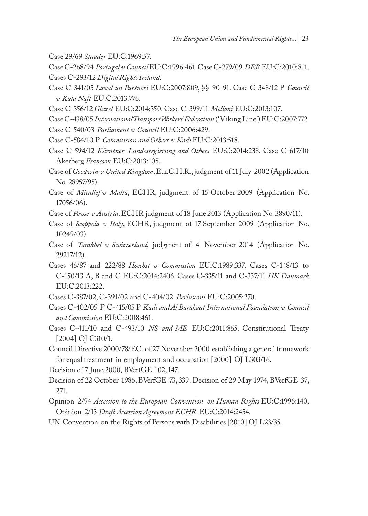- Case 29/69 *Stauder* EU:C:1969:57.
- Case C-268/94 *Portugal v Council* EU:C:1996:461. Case C-279/09 *DEB* EU:C:2010:811. Cases C-293/12 *Digital Rights Ireland*.
- Case C-341/05 *Laval un Partneri* EU:C:2007:809, §§ 90-91. Case C-348/12 P *Council v Kala Naft* EU:C:2013:776.
- Case C-356/12 *Glazel* EU:C:2014:350. Case C-399/11 *Melloni* EU:C:2013:107.
- Case C-438/05 *International Transport Workers' Federation* ('Viking Line') EU:C:2007:772
- Case C-540/03 *Parliament v Council* EU:C:2006:429.
- Case C-584/10 P *Commission and Others v Kadi* EU:C:2013:518.
- Case C-594/12 *Kärntner Landesregierung and Others* EU:C:2014:238. Case C-617/10 Åkerberg *Fransson* EU:C:2013:105.
- Case of *Goodwin v United Kingdom*, Eur.C.H.R., judgment of 11 July 2002 (Application No. 28957/95).
- Case of *Micallef v Malta*, ECHR, judgment of 15 October 2009 (Application No. 17056/06).
- Case of *Povse v Austria*, ECHR judgment of 18 June 2013 (Application No. 3890/11).
- Case of *Scoppola v Italy*, ECHR, judgment of 17 September 2009 (Application No. 10249/03).
- Case of *Tarakhel v Switzerland*, judgment of 4 November 2014 (Application No. 29217/12).
- Cases 46/87 and 222/88 *Hoechst v Commission* EU:C:1989:337. Cases C-148/13 to C-150/13 A, B and C EU:C:2014:2406. Cases C-335/11 and C-337/11 *HK Danmark*  EU:C:2013:222.
- Cases C-387/02, C-391/02 and C-404/02 *Berlusconi* EU:C:2005:270.
- Cases C-402/05 P C-415/05 P *Kadi and Al Barakaat International Foundation v Council and Commission* EU:C:2008:461.
- Cases C-411/10 and C-493/10 *NS and ME* EU:C:2011:865. Constitutional Treaty [2004] OJ C310/1.
- Council Directive 2000/78/EC of 27 November 2000 establishing a general framework for equal treatment in employment and occupation [2000] OJ L303/16.
- Decision of 7 June 2000, BVerfGE 102, 147.
- Decision of 22 October 1986, BVerfGE 73, 339. Decision of 29 May 1974, BVerfGE 37, 271.
- Opinion 2/94 *Accession to the European Convention on Human Rights* EU:C:1996:140. Opinion 2/13 *Draft Accession Agreement ECHR* EU:C:2014:2454.
- UN Convention on the Rights of Persons with Disabilities [2010] OJ L23/35.